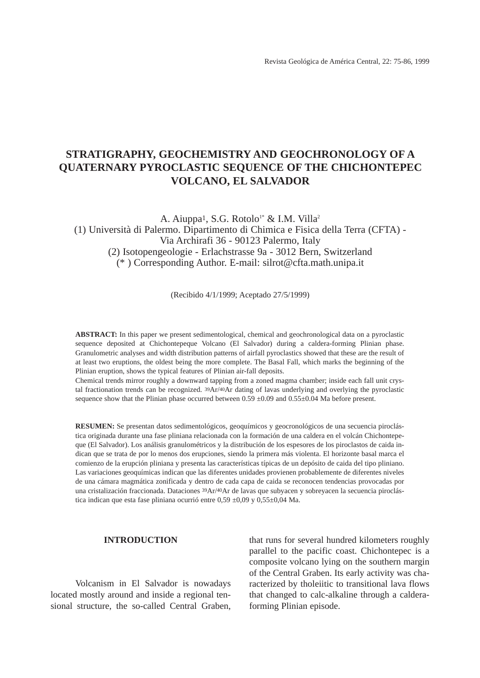# **STRATIGRAPHY, GEOCHEMISTRY AND GEOCHRONOLOGY OF A QUATERNARY PYROCLASTIC SEQUENCE OF THE CHICHONTEPEC VOLCANO, EL SALVADOR**

A. Aiuppa<sup>1</sup>, S.G. Rotolo<sup>1\*</sup> & I.M. Villa<sup>2</sup> (1) Università di Palermo. Dipartimento di Chimica e Fisica della Terra (CFTA) - Via Archirafi 36 - 90123 Palermo, Italy (2) Isotopengeologie - Erlachstrasse 9a - 3012 Bern, Switzerland (\* ) Corresponding Author. E-mail: silrot@cfta.math.unipa.it

(Recibido 4/1/1999; Aceptado 27/5/1999)

**ABSTRACT:** In this paper we present sedimentological, chemical and geochronological data on a pyroclastic sequence deposited at Chichontepeque Volcano (El Salvador) during a caldera-forming Plinian phase. Granulometric analyses and width distribution patterns of airfall pyroclastics showed that these are the result of at least two eruptions, the oldest being the more complete. The Basal Fall, which marks the beginning of the Plinian eruption, shows the typical features of Plinian air-fall deposits.

Chemical trends mirror roughly a downward tapping from a zoned magma chamber; inside each fall unit crystal fractionation trends can be recognized. 39Ar/40Ar dating of lavas underlying and overlying the pyroclastic sequence show that the Plinian phase occurred between  $0.59 \pm 0.09$  and  $0.55 \pm 0.04$  Ma before present.

**RESUMEN:** Se presentan datos sedimentológicos, geoquímicos y geocronológicos de una secuencia piroclástica originada durante una fase pliniana relacionada con la formación de una caldera en el volcán Chichontepeque (El Salvador). Los análisis granulométricos y la distribución de los espesores de los piroclastos de caida indican que se trata de por lo menos dos erupciones, siendo la primera más violenta. El horizonte basal marca el comienzo de la erupción pliniana y presenta las características típicas de un depósito de caida del tipo pliniano. Las variaciones geoquímicas indican que las diferentes unidades provienen probablemente de diferentes niveles de una cámara magmática zonificada y dentro de cada capa de caida se reconocen tendencias provocadas por una cristalización fraccionada. Dataciones 39Ar/40Ar de lavas que subyacen y sobreyacen la secuencia piroclástica indican que esta fase pliniana ocurrió entre 0,59 ±0,09 y 0,55±0,04 Ma.

### **INTRODUCTION**

Volcanism in El Salvador is nowadays located mostly around and inside a regional tensional structure, the so-called Central Graben,

that runs for several hundred kilometers roughly parallel to the pacific coast. Chichontepec is a composite volcano lying on the southern margin of the Central Graben. Its early activity was characterized by tholeiitic to transitional lava flows that changed to calc-alkaline through a calderaforming Plinian episode.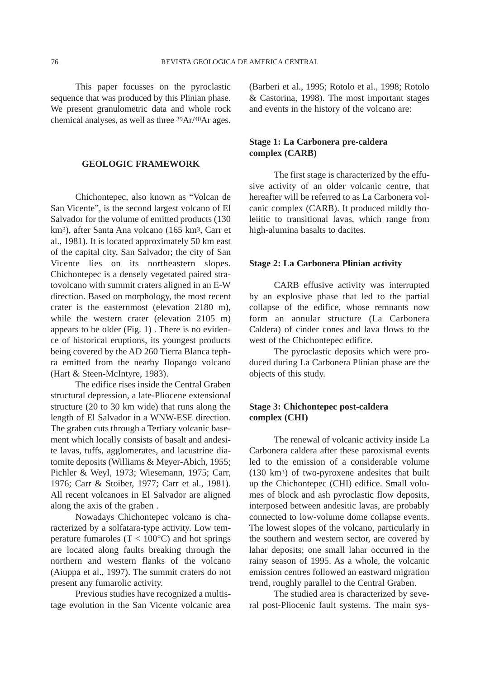This paper focusses on the pyroclastic sequence that was produced by this Plinian phase. We present granulometric data and whole rock chemical analyses, as well as three 39Ar/40Ar ages.

### **GEOLOGIC FRAMEWORK**

Chichontepec, also known as "Volcan de San Vicente", is the second largest volcano of El Salvador for the volume of emitted products (130 km3), after Santa Ana volcano (165 km3, Carr et al., 1981). It is located approximately 50 km east of the capital city, San Salvador; the city of San Vicente lies on its northeastern slopes. Chichontepec is a densely vegetated paired stratovolcano with summit craters aligned in an E-W direction. Based on morphology, the most recent crater is the easternmost (elevation 2180 m), while the western crater (elevation 2105 m) appears to be older (Fig. 1) . There is no evidence of historical eruptions, its youngest products being covered by the AD 260 Tierra Blanca tephra emitted from the nearby Ilopango volcano (Hart & Steen-McIntyre, 1983).

The edifice rises inside the Central Graben structural depression, a late-Pliocene extensional structure (20 to 30 km wide) that runs along the length of El Salvador in a WNW-ESE direction. The graben cuts through a Tertiary volcanic basement which locally consists of basalt and andesite lavas, tuffs, agglomerates, and lacustrine diatomite deposits (Williams & Meyer-Abich, 1955; Pichler & Weyl, 1973; Wiesemann, 1975; Carr, 1976; Carr & Stoiber, 1977; Carr et al., 1981). All recent volcanoes in El Salvador are aligned along the axis of the graben .

Nowadays Chichontepec volcano is characterized by a solfatara-type activity. Low temperature fumaroles  $(T < 100^{\circ}C)$  and hot springs are located along faults breaking through the northern and western flanks of the volcano (Aiuppa et al., 1997). The summit craters do not present any fumarolic activity.

Previous studies have recognized a multistage evolution in the San Vicente volcanic area (Barberi et al., 1995; Rotolo et al., 1998; Rotolo & Castorina, 1998). The most important stages and events in the history of the volcano are:

# **Stage 1: La Carbonera pre-caldera complex (CARB)**

The first stage is characterized by the effusive activity of an older volcanic centre, that hereafter will be referred to as La Carbonera volcanic complex (CARB). It produced mildly tholeiitic to transitional lavas, which range from high-alumina basalts to dacites.

### **Stage 2: La Carbonera Plinian activity**

CARB effusive activity was interrupted by an explosive phase that led to the partial collapse of the edifice, whose remnants now form an annular structure (La Carbonera Caldera) of cinder cones and lava flows to the west of the Chichontepec edifice.

The pyroclastic deposits which were produced during La Carbonera Plinian phase are the objects of this study.

# **Stage 3: Chichontepec post-caldera complex (CHI)**

The renewal of volcanic activity inside La Carbonera caldera after these paroxismal events led to the emission of a considerable volume (130 km3) of two-pyroxene andesites that built up the Chichontepec (CHI) edifice. Small volumes of block and ash pyroclastic flow deposits, interposed between andesitic lavas, are probably connected to low-volume dome collapse events. The lowest slopes of the volcano, particularly in the southern and western sector, are covered by lahar deposits; one small lahar occurred in the rainy season of 1995. As a whole, the volcanic emission centres followed an eastward migration trend, roughly parallel to the Central Graben.

The studied area is characterized by several post-Pliocenic fault systems. The main sys-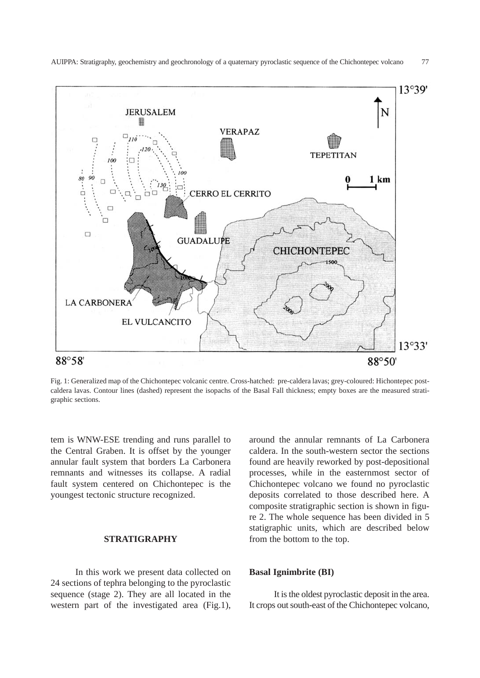

AUIPPA: Stratigraphy, geochemistry and geochronology of a quaternary pyroclastic sequence of the Chichontepec volcano 77

Fig. 1: Generalized map of the Chichontepec volcanic centre. Cross-hatched: pre-caldera lavas; grey-coloured: Hichontepec postcaldera lavas. Contour lines (dashed) represent the isopachs of the Basal Fall thickness; empty boxes are the measured stratigraphic sections.

tem is WNW-ESE trending and runs parallel to the Central Graben. It is offset by the younger annular fault system that borders La Carbonera remnants and witnesses its collapse. A radial fault system centered on Chichontepec is the youngest tectonic structure recognized.

# **STRATIGRAPHY**

In this work we present data collected on 24 sections of tephra belonging to the pyroclastic sequence (stage 2). They are all located in the western part of the investigated area (Fig.1), around the annular remnants of La Carbonera caldera. In the south-western sector the sections found are heavily reworked by post-depositional processes, while in the easternmost sector of Chichontepec volcano we found no pyroclastic deposits correlated to those described here. A composite stratigraphic section is shown in figure 2. The whole sequence has been divided in 5 statigraphic units, which are described below from the bottom to the top.

# **Basal Ignimbrite (BI)**

It is the oldest pyroclastic deposit in the area. It crops out south-east of the Chichontepec volcano,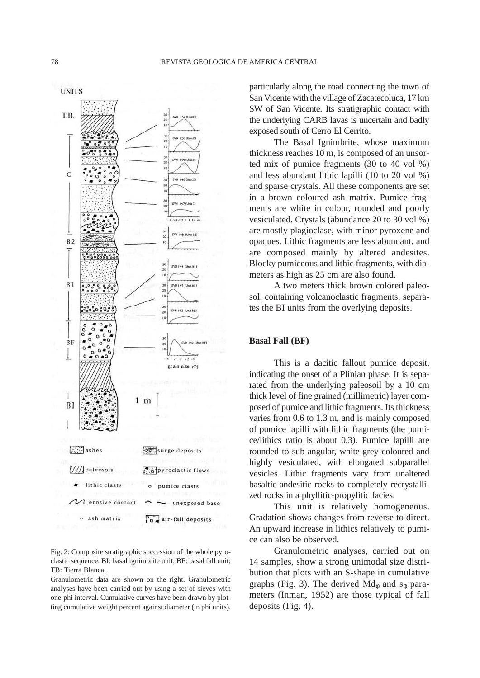

Fig. 2: Composite stratigraphic succession of the whole pyroclastic sequence. BI: basal ignimbrite unit; BF: basal fall unit; TB: Tierra Blanca.

Granulometric data are shown on the right. Granulometric analyses have been carried out by using a set of sieves with one-phi interval. Cumulative curves have been drawn by plotting cumulative weight percent against diameter (in phi units). particularly along the road connecting the town of San Vicente with the village of Zacatecoluca, 17 km SW of San Vicente. Its stratigraphic contact with the underlying CARB lavas is uncertain and badly exposed south of Cerro El Cerrito.

The Basal Ignimbrite, whose maximum thickness reaches 10 m, is composed of an unsorted mix of pumice fragments (30 to 40 vol %) and less abundant lithic lapilli (10 to 20 vol %) and sparse crystals. All these components are set in a brown coloured ash matrix. Pumice fragments are white in colour, rounded and poorly vesiculated. Crystals (abundance 20 to 30 vol %) are mostly plagioclase, with minor pyroxene and opaques. Lithic fragments are less abundant, and are composed mainly by altered andesites. Blocky pumiceous and lithic fragments, with diameters as high as 25 cm are also found.

A two meters thick brown colored paleosol, containing volcanoclastic fragments, separates the BI units from the overlying deposits.

### **Basal Fall (BF)**

This is a dacitic fallout pumice deposit, indicating the onset of a Plinian phase. It is separated from the underlying paleosoil by a 10 cm thick level of fine grained (millimetric) layer composed of pumice and lithic fragments. Its thickness varies from 0.6 to 1.3 m, and is mainly composed of pumice lapilli with lithic fragments (the pumice/lithics ratio is about 0.3). Pumice lapilli are rounded to sub-angular, white-grey coloured and highly vesiculated, with elongated subparallel vesicles. Lithic fragments vary from unaltered basaltic-andesitic rocks to completely recrystallized rocks in a phyllitic-propylitic facies.

This unit is relatively homogeneous. Gradation shows changes from reverse to direct. An upward increase in lithics relatively to pumice can also be observed.

Granulometric analyses, carried out on 14 samples, show a strong unimodal size distribution that plots with an S-shape in cumulative graphs (Fig. 3). The derived  $Md_{\phi}$  and  $s_{\phi}$  parameters (Inman, 1952) are those typical of fall deposits (Fig. 4).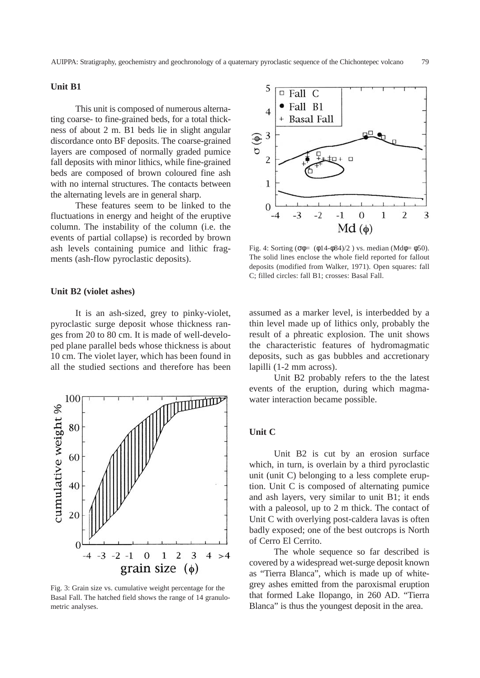# **Unit B1**

This unit is composed of numerous alternating coarse- to fine-grained beds, for a total thickness of about 2 m. B1 beds lie in slight angular discordance onto BF deposits. The coarse-grained layers are composed of normally graded pumice fall deposits with minor lithics, while fine-grained beds are composed of brown coloured fine ash with no internal structures. The contacts between the alternating levels are in general sharp.

These features seem to be linked to the fluctuations in energy and height of the eruptive column. The instability of the column (i.e. the events of partial collapse) is recorded by brown ash levels containing pumice and lithic fragments (ash-flow pyroclastic deposits).

### **Unit B2 (violet ashes)**

It is an ash-sized, grey to pinky-violet, pyroclastic surge deposit whose thickness ranges from 20 to 80 cm. It is made of well-developed plane parallel beds whose thickness is about 10 cm. The violet layer, which has been found in all the studied sections and therefore has been



Fig. 3: Grain size vs. cumulative weight percentage for the Basal Fall. The hatched field shows the range of 14 granulometric analyses.



Fig. 4: Sorting ( $\sigma \phi = (\phi 14 - \phi 84)/2$ ) vs. median (Md $\phi = \phi 50$ ). The solid lines enclose the whole field reported for fallout deposits (modified from Walker, 1971). Open squares: fall C; filled circles: fall B1; crosses: Basal Fall.

assumed as a marker level, is interbedded by a thin level made up of lithics only, probably the result of a phreatic explosion. The unit shows the characteristic features of hydromagmatic deposits, such as gas bubbles and accretionary lapilli (1-2 mm across).

Unit B2 probably refers to the the latest events of the eruption, during which magmawater interaction became possible.

# **Unit C**

Unit B2 is cut by an erosion surface which, in turn, is overlain by a third pyroclastic unit (unit C) belonging to a less complete eruption. Unit C is composed of alternating pumice and ash layers, very similar to unit B1; it ends with a paleosol, up to 2 m thick. The contact of Unit C with overlying post-caldera lavas is often badly exposed; one of the best outcrops is North of Cerro El Cerrito.

The whole sequence so far described is covered by a widespread wet-surge deposit known as "Tierra Blanca", which is made up of whitegrey ashes emitted from the paroxismal eruption that formed Lake Ilopango, in 260 AD. "Tierra Blanca" is thus the youngest deposit in the area.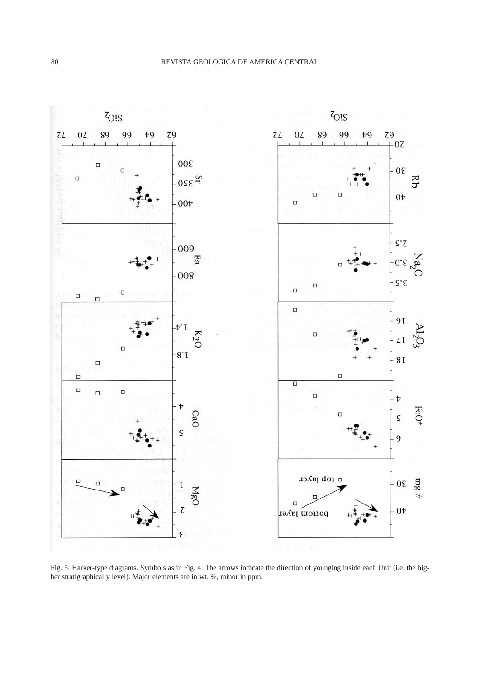

Fig. 5: Harker-type diagrams. Symbols as in Fig. 4. The arrows indicate the direction of younging inside each Unit (i.e. the higher stratigraphically level). Major elements are in wt. %, minor in ppm.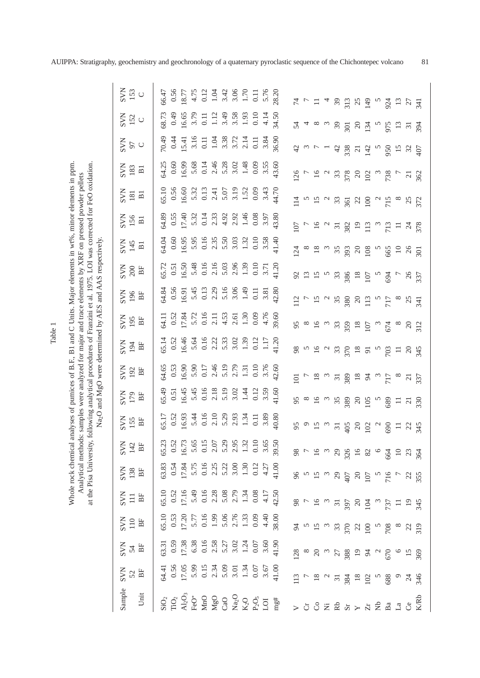Whole rock chemical analyses of pumices of B.F., B1 and C Units. Major elements in wt%, minor elements in ppm. at the Pisa University, following analytical procedures of Franzini et al. 1975. LOI was corrected for FeO oxidation. Whole rock chemical analyses of pumices of B.F., B1 and C Units. Major elements in wt%, minor elements in ppm. at the Pisa University, following analytical procedures of Franzini et al. 1975. LOI was corrected for FeO oxidation. Analytical methods: samples were analyzed for major and trace elements by XRF on pressed powder pellets Analytical methods: samples were analyzed for major and trace elements by XRF on pressed powder pellets

Table 1

SVN 153 56.47 0.56 18.77 28.20  $\cup$ 4.75 0.12 1.04 3.42 3.06 1.70  $0.11$ 5.76 SiO2 64.41 63.31 65.10 65.10 63.83 65.23 65.17 65.49 64.65 65.14 64.11 64.84 65.72 64.04 64.89 65.10 64.25 70.49 68.73 66.47 TiO2 0.56 0.59 0.53 0.52 0.54 0.52 0.52 0.51 0.53 0.52 0.52 0.56 0.51 0.60 0.55 0.56 0.60 0.44 0.49 0.56 3 17.05 17.38 17.20 17.16 17.84 16.73 16.93 16.45 16.90 16.46 17.84 16.91 16.50 16.95 17.40 16.60 16.99 15.41 16.65 18.77 FeO\* 5.99 6.38 5.77 5.49 5.75 5.65 5.44 5.45 5.90 5.64 5.72 5.45 5.48 5.95 5.32 5.32 5.68 3.16 3.79 4.75 MnO 0.15 0.16 0.16 0.16 0.16 0.15 0.16 0.16 0.17 0.16 0.16 0.13 0.16 0.16 0.14 0.13 0.14 0.11 0.11 0.12 MgO 2.34 2.58 1.99 2.28 2.25 2.07 2.18 2.46 2.22 2.11 2.29 2.16 2.35 2.33 2.31 2.46 1.04 1.12 1.04 CaO 5.09 5.27 5.06 5.08 5.22 5.29 5.29 5.19 5.19 5.33 4.53 5.16 5.03 5.50 4.92 5.07 5.28 3.38 3.49 3.42 3.01 3.02 2.76 2.79 3.00 2.95 2.93 3.02 2.79 3.02 2.61 3.06 2.96 3.03 2.92 3.19 3.02 3.72 3.58 3.06 1.34 1.24 1.33 1.34 1.30 1.32 1.34 1.44 1.31 1.39 1.30 1.49 1.39 1.32 1.46 1.52 1.48 2.14 1.93 1.70 LOI 3.67 3.60 4.40 4.17 4.27 3.65 3.89 3.59 3.76 1.17 4.76 3.81 3.71 3.58 3.97 3.43 3.55 3.84 4.14 5.76 mg 39.00 38.00 39.50 42.50 42.50 42.50 42.60 42.60 30.70 30.70 30.70 30.70 30.90 30.90 30.90 30.70 30.70 30.70 30.80 30.70 42.70 34.50 36.70 32.80 34.50 30.80 30.70 32.80 30.80 30.70 34.50 30.80 30.70 34.50 34.50 34.50 30. T10 010 I10 600 600 600 010 010 I10 600 A10 0.10 A10 I10 0.10 A10 800 600 L00 0.09 L00 L00 313  $924$  $13$  $\overline{7}$ 39  $25$ <br> $49$ 27  $\overline{z}$ 74 74 94 94 94 96 96 96 96 96 96 96 96 96 96 96 97 114 126 97 127 128 129 129 129 129 129 120 120 120 120 120 1 Cr 7 8 5 7 5 7 9 8 7 5 8 7 13 8 7 5 7 3 4 7 Co 18 20 15 16 15 16 16 16 16 16 16 15 15 18 16 16 16 16 8 11 Ni 2 3 3 3 3 3 3 2 5 5 3 2 2 2 3 4 Rb 31 27 33 31 29 29 31 35 31 33 33 35 33 35 31 33 33 42 39 39 Sr 384 388 370 370 407 405 389 389 399 359 359 380 386 387 393 382 3138 3138 3138 3138 301 313 18 19 22 20 20 16 20 20 18 18 18 20 18 20 19 22 20 21 20 25 Zr 102 94 100 104 107 82 102 105 94 91 107 113 107 108 113 100 102 142 134 149 Nb 5 5 5 5 5 5 5 5 5 5 5 5 5 5 5 5 5 Ba 688 670 708 737 716 664 690 689 717 703 674 717 694 665 713 715 738 950 975 924 La 9 6 8 11 7 10 11 11 8 11 8 8 7 10 11 8 7 15 13 13 Ce 24 15 22 19 23 23 21 21 20 20 25 26 26 26 24 25 21 32 31 27 K/Rb 346 369 319 345 355 364 345 330 337 345 312 341 337 301 378 372 362 407 394 34168.73  $0.49$ 6.65 3.79  $0.10$ SVN 34.50  $0.11$  $1.12$ 3.49 3.58 1.93 4.14 52  $\circ$ 24  $\mathfrak{D}$  $\overline{50}$  $\infty$  $\mathfrak{B}$  $55$  $13$  $\overline{31}$  $94$ 0.44 70.49 3.16 2.14 SVN 15.41 1.04 3.38 3.72 3.84 36.90  $0.11$  $0.11$ 5 U  $42$ 38  $15$  $\ddot{c}$  $71$   $42$  $50$  $32$  $\overline{10}$ 183 54.25 16.99 1.48  $0.09$ 43.60  $0.60$ 5.68  $0.14$ 2.46 5.28 3.02 3.55 SVN B1  $26$  $33$  $78$  $20<sub>2</sub>$ 738  $862$  $\overline{c}$ 65.10 0.56 16.60 5.07 3.19 SVN 5.32 0.13 1.52 0.09 44.70 2.41 3.43 181 B1  $\frac{15}{8}$   $\,$  $\overline{14}$  $\overline{5}$  $33$  $22$  $\mathfrak{a}$  $25$  $\overline{6}$  $572$ 0.55  $17.40$ 4.92 1.46 0.08 3.97 43.80 64.89 5.32 2.33 2.92 SVN 156  $0.14$ B1  $\overline{0}$  $\overline{16}$  $\sim$  $\overline{31}$ 82  $19$  $\overline{13}$  $713$  $\equiv$  $\mathcal{Z}$  $78$  $0.16$  $0.10\,$ 54.04  $0.60$ 16.95 5.95 2.35 5.50 1.32 3.58 41.40 3.03 Na<sub>2</sub>O and MgO were determined by AES and AAS respectively. Na<sub>2</sub>O and MgO were determined by AES and AAS respectively. SVN 145 B1  $\overline{24}$  $\infty$  $35$ 393  $\overline{c}$  $\overline{0}$ 565  $\overline{10}$  $^{26}$  $\overline{5}$  $6.50$ 5.48  $0.16$ 2.16 5.03 2.96 1.39  $0.10$ 41.20 SVN 55.72  $0.51$ 3.71 200 BF  $\frac{18}{107}$ 92  $\mathbf{L}$  $33$ 386 594  $^{26}$  $37$ 0.56 1.49 42.80 54.84 5.45 0.13 2.29 5.16 3.06 SVN 196 BF 16.91  $0.11$ 3.81 35  $12$  $\overline{15}$ 80  $20$  $\overline{13}$  $17$  $\overline{z}$ 54.11 0.52 7.84 5.72 0.16 4.53 1.30 0.09 4.76 89.60  $2.11$ 2.61 SVN 195 BF 56  $16$  $\sim$  $33$ 59  $\frac{18}{107}$ 574  $\infty$  $312$  $\infty$  $\omega$  $20\,$ 55.14 16.46 0.16 1.39 0.12 41.20 0.52 5.64 2.22 5.33 3.02 1.17 SVN BF 194  $18$ 98  $\overline{16}$  $33$  $570$  $03$  $\Omega$  $345$  $\overline{5}$  $\Xi$ 64.65 0.53 16.90 5.90 0.17 2.46 5.19 42.60 2.79 1.31  $0.10$ SVN 192 BF 89  $18\,$  $\overline{0}$  $\overline{8}$  $\overline{\phantom{0}}31$  $\mathfrak{A}$  $717$  $\overline{21}$  $37$ 6.45 5.19  $0.12$ 3.59 65.49  $0.51$ 5.45 0.16 2.18 3.02 1.44 41.60 SVN BF 179 95  $\overline{6}$  $35$  $20<sub>0</sub>$ 589  $\equiv$  $\overline{c}$  $\tilde{30}$ 16.93  $0.16$ 5.29 3.89 40.80 55.17 0.52 5.44  $2.10$ 2.93 1.34  $0.11$ SVN 155 BF 95  $\circ$  $\sigma$ iQ2  $20$  $\overline{31}$  $60$  $=$   $\frac{5}{4}$ 0.52  $0.10$ 55.23 16.73 5.65  $0.15$ 2.07 5.29 2.95 1.32 3.65 39.50 SVN 142 BF  $64$   $9$   $36$  $29$ <br> $326$  $\frac{8}{3}$  $16$  $\omega$  $16$ <br>82  $\circ$ 17.84  $0.16$ 1.30 41.00 53.83 5.75 5.22  $0.12$ 4.27 0.54 2.25 3.00 SVN 138 BF  $96$  $29$ 716  $15$  $\frac{20}{107}$  $22$  $55$ 55.10 5.49 0.16 5.08 SVN 0.52 7.16 2.28  $42.50$ 2.79 1.34 0.08  $4.17$ 111 BF 98  $16$  $\frac{5}{97}$  $20$   $\underline{3}$  $737$  $19$  $345$ 65.10 0.53  $0.16$ 5.06 2.76 1.33  $0.09$ 38.00 Sample SVN SVN SVN<br>52 54 110<br>Unit BF BF BF 17.20 5.77 1.99 4.40 110 BF 319  $\beta$  $\frac{33}{20}$  $\frac{22}{10}$ 708 22 63.31 0.59 17.38 6.38  $0.16$ 2.58 5.27 3.02 1.24  $0.07$ 41.90 3.60  $194$ 28  $\infty$  $\overline{c}$  $27$  $88<sup>8</sup>$  $\mathcal{L}$  $\overline{570}$  $\circ$  $15$  $869$ 17.05 64.41  $0.56$ 5.99  $0.15$ 2.34 5.09 3.01 1.34  $0.07$ 3.67 41.00 384  $102$ 588  $\circ$ 346  $13$  $\overline{\mathbf{8}}$  $\overline{\phantom{0}}31$  $18\,$  $\overline{24}$ FeO\*  $MnO$ K/Rb  $SiO<sub>2</sub>$  $\rm TiO_2$  $\rm MgO$  $CaO$ O2P<sub>2</sub>O<sub>5</sub>  $mg#$ O2 $\mathcal{S}$ ප Na Al  $>$  U U Z  $\boldsymbol{\Join}$   $\boldsymbol{\triangledown}$   $\boldsymbol{\triangledown}$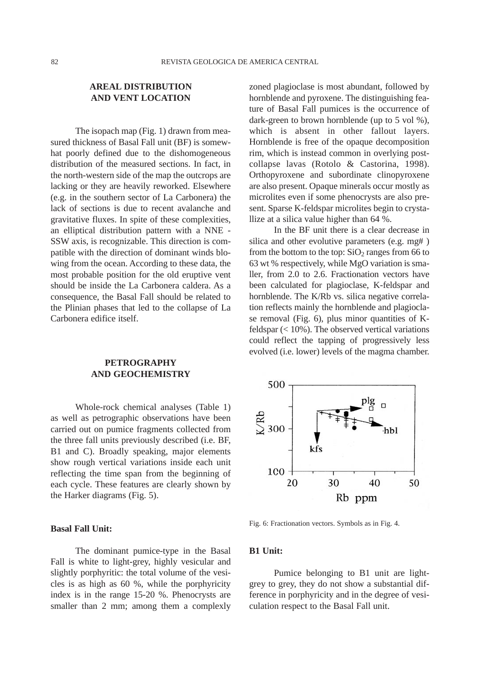# **AREAL DISTRIBUTION AND VENT LOCATION**

The isopach map (Fig. 1) drawn from measured thickness of Basal Fall unit (BF) is somewhat poorly defined due to the dishomogeneous distribution of the measured sections. In fact, in the north-western side of the map the outcrops are lacking or they are heavily reworked. Elsewhere (e.g. in the southern sector of La Carbonera) the lack of sections is due to recent avalanche and gravitative fluxes. In spite of these complexities, an elliptical distribution pattern with a NNE - SSW axis, is recognizable. This direction is compatible with the direction of dominant winds blowing from the ocean. According to these data, the most probable position for the old eruptive vent should be inside the La Carbonera caldera. As a consequence, the Basal Fall should be related to the Plinian phases that led to the collapse of La Carbonera edifice itself.

# **PETROGRAPHY AND GEOCHEMISTRY**

Whole-rock chemical analyses (Table 1) as well as petrographic observations have been carried out on pumice fragments collected from the three fall units previously described (i.e. BF, B1 and C). Broadly speaking, major elements show rough vertical variations inside each unit reflecting the time span from the beginning of each cycle. These features are clearly shown by the Harker diagrams (Fig. 5).

### **Basal Fall Unit:**

The dominant pumice-type in the Basal Fall is white to light-grey, highly vesicular and slightly porphyritic: the total volume of the vesicles is as high as 60 %, while the porphyricity index is in the range 15-20 %. Phenocrysts are smaller than 2 mm; among them a complexly zoned plagioclase is most abundant, followed by hornblende and pyroxene. The distinguishing feature of Basal Fall pumices is the occurrence of dark-green to brown hornblende (up to 5 vol %), which is absent in other fallout layers. Hornblende is free of the opaque decomposition rim, which is instead common in overlying postcollapse lavas (Rotolo & Castorina, 1998). Orthopyroxene and subordinate clinopyroxene are also present. Opaque minerals occur mostly as microlites even if some phenocrysts are also present. Sparse K-feldspar microlites begin to crystallize at a silica value higher than 64 %.

In the BF unit there is a clear decrease in silica and other evolutive parameters (e.g. mg# ) from the bottom to the top:  $SiO<sub>2</sub>$  ranges from 66 to 63 wt % respectively, while MgO variation is smaller, from 2.0 to 2.6. Fractionation vectors have been calculated for plagioclase, K-feldspar and hornblende. The K/Rb vs. silica negative correlation reflects mainly the hornblende and plagioclase removal (Fig. 6), plus minor quantities of Kfeldspar (< 10%). The observed vertical variations could reflect the tapping of progressively less evolved (i.e. lower) levels of the magma chamber.



Fig. 6: Fractionation vectors. Symbols as in Fig. 4.

### **B1 Unit:**

Pumice belonging to B1 unit are lightgrey to grey, they do not show a substantial difference in porphyricity and in the degree of vesiculation respect to the Basal Fall unit.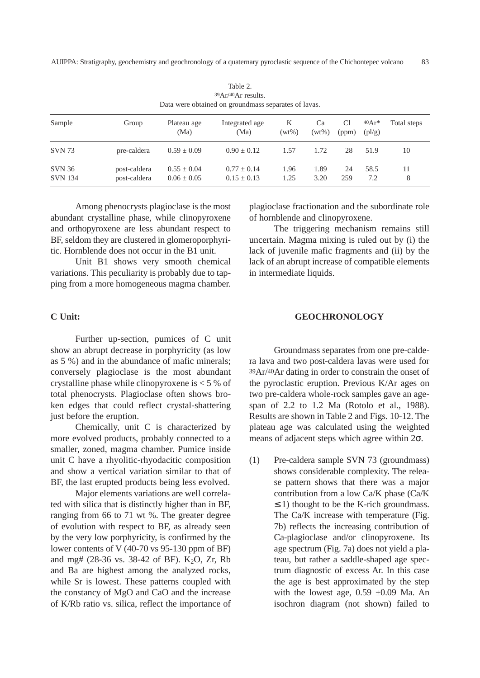| Data were obtained on groundmass separates of lavas. |                              |                                    |                                |               |                |             |                                       |             |
|------------------------------------------------------|------------------------------|------------------------------------|--------------------------------|---------------|----------------|-------------|---------------------------------------|-------------|
| Sample                                               | Group                        | Plateau age<br>(Ma)                | Integrated age<br>(Ma)         | K<br>$(wt\%)$ | Ca<br>$(wt\%)$ | Cl<br>(ppm) | $40Ar*$<br>$\left(\frac{p}{q}\right)$ | Total steps |
| <b>SVN 73</b>                                        | pre-caldera                  | $0.59 \pm 0.09$                    | $0.90 + 0.12$                  | 1.57          | 1.72           | 28          | 51.9                                  | 10          |
| <b>SVN 36</b><br><b>SVN</b> 134                      | post-caldera<br>post-caldera | $0.55 \pm 0.04$<br>$0.06 \pm 0.05$ | $0.77 + 0.14$<br>$0.15 + 0.13$ | 1.96<br>1.25  | 1.89<br>3.20   | 24<br>259   | 58.5<br>7.2                           | 11<br>8     |

Table 2. 39Ar/40Ar results. Data were obtained on groundmass separates of lavas.

Among phenocrysts plagioclase is the most abundant crystalline phase, while clinopyroxene and orthopyroxene are less abundant respect to BF, seldom they are clustered in glomeroporphyritic. Hornblende does not occur in the B1 unit.

Unit B1 shows very smooth chemical variations. This peculiarity is probably due to tapping from a more homogeneous magma chamber.

### **C Unit:**

Further up-section, pumices of C unit show an abrupt decrease in porphyricity (as low as 5 %) and in the abundance of mafic minerals; conversely plagioclase is the most abundant crystalline phase while clinopyroxene is < 5 % of total phenocrysts. Plagioclase often shows broken edges that could reflect crystal-shattering just before the eruption.

Chemically, unit C is characterized by more evolved products, probably connected to a smaller, zoned, magma chamber. Pumice inside unit C have a rhyolitic-rhyodacitic composition and show a vertical variation similar to that of BF, the last erupted products being less evolved.

Major elements variations are well correlated with silica that is distinctly higher than in BF, ranging from 66 to 71 wt %. The greater degree of evolution with respect to BF, as already seen by the very low porphyricity, is confirmed by the lower contents of V (40-70 vs 95-130 ppm of BF) and mg#  $(28-36 \text{ vs. } 38-42 \text{ of BF})$ . K<sub>2</sub>O, Zr, Rb and Ba are highest among the analyzed rocks, while Sr is lowest. These patterns coupled with the constancy of MgO and CaO and the increase of K/Rb ratio vs. silica, reflect the importance of plagioclase fractionation and the subordinate role of hornblende and clinopyroxene.

The triggering mechanism remains still uncertain. Magma mixing is ruled out by (i) the lack of juvenile mafic fragments and (ii) by the lack of an abrupt increase of compatible elements in intermediate liquids.

### **GEOCHRONOLOGY**

Groundmass separates from one pre-caldera lava and two post-caldera lavas were used for 39Ar/40Ar dating in order to constrain the onset of the pyroclastic eruption. Previous K/Ar ages on two pre-caldera whole-rock samples gave an agespan of 2.2 to 1.2 Ma (Rotolo et al., 1988). Results are shown in Table 2 and Figs. 10-12. The plateau age was calculated using the weighted means of adjacent steps which agree within 2σ.

(1) Pre-caldera sample SVN 73 (groundmass) shows considerable complexity. The release pattern shows that there was a major contribution from a low Ca/K phase (Ca/K  $\leq$  1) thought to be the K-rich groundmass. The Ca/K increase with temperature (Fig. 7b) reflects the increasing contribution of Ca-plagioclase and/or clinopyroxene. Its age spectrum (Fig. 7a) does not yield a plateau, but rather a saddle-shaped age spectrum diagnostic of excess Ar. In this case the age is best approximated by the step with the lowest age,  $0.59 \pm 0.09$  Ma. An isochron diagram (not shown) failed to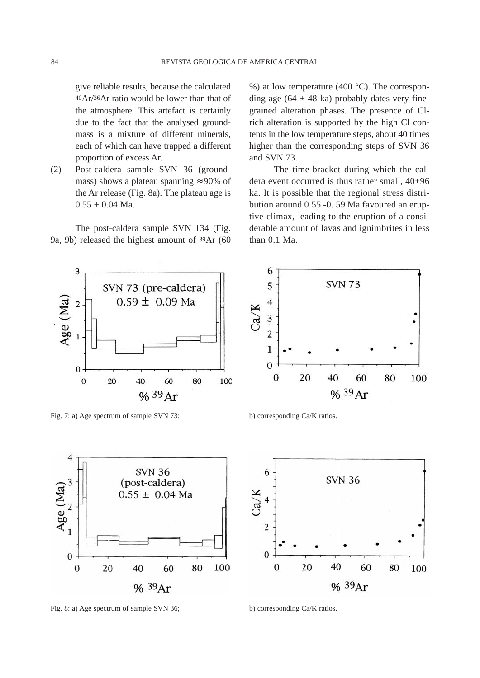give reliable results, because the calculated 40Ar/36Ar ratio would be lower than that of the atmosphere. This artefact is certainly due to the fact that the analysed groundmass is a mixture of different minerals, each of which can have trapped a different proportion of excess Ar.

(2) Post-caldera sample SVN 36 (groundmass) shows a plateau spanning  $\approx 90\%$  of the Ar release (Fig. 8a). The plateau age is  $0.55 \pm 0.04$  Ma.

The post-caldera sample SVN 134 (Fig. 9a, 9b) released the highest amount of 39Ar (60 %) at low temperature (400 °C). The corresponding age (64  $\pm$  48 ka) probably dates very finegrained alteration phases. The presence of Clrich alteration is supported by the high Cl contents in the low temperature steps, about 40 times higher than the corresponding steps of SVN 36 and SVN 73.

The time-bracket during which the caldera event occurred is thus rather small, 40±96 ka. It is possible that the regional stress distribution around 0.55 -0. 59 Ma favoured an eruptive climax, leading to the eruption of a considerable amount of lavas and ignimbrites in less than 0.1 Ma.



Fig. 7: a) Age spectrum of sample SVN 73; b) corresponding Ca/K ratios.



Fig. 8: a) Age spectrum of sample SVN 36; b) corresponding Ca/K ratios.



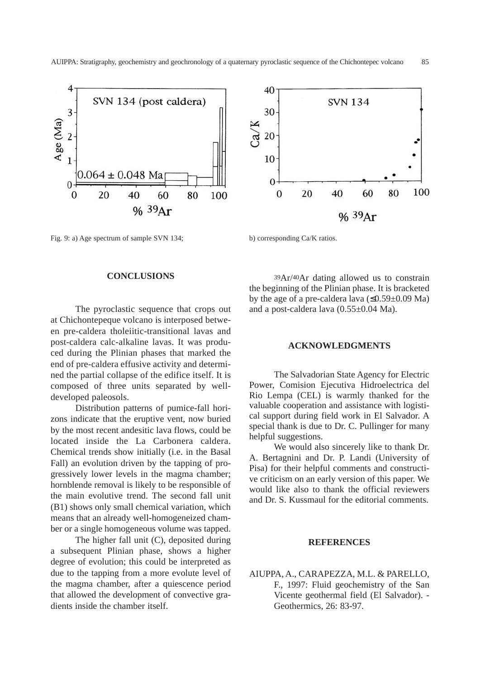

Fig. 9: a) Age spectrum of sample SVN 134; b) corresponding Ca/K ratios.

#### **CONCLUSIONS**

The pyroclastic sequence that crops out at Chichontepeque volcano is interposed between pre-caldera tholeiitic-transitional lavas and post-caldera calc-alkaline lavas. It was produced during the Plinian phases that marked the end of pre-caldera effusive activity and determined the partial collapse of the edifice itself. It is composed of three units separated by welldeveloped paleosols.

Distribution patterns of pumice-fall horizons indicate that the eruptive vent, now buried by the most recent andesitic lava flows, could be located inside the La Carbonera caldera. Chemical trends show initially (i.e. in the Basal Fall) an evolution driven by the tapping of progressively lower levels in the magma chamber; hornblende removal is likely to be responsible of the main evolutive trend. The second fall unit (B1) shows only small chemical variation, which means that an already well-homogeneized chamber or a single homogeneous volume was tapped.

The higher fall unit (C), deposited during a subsequent Plinian phase, shows a higher degree of evolution; this could be interpreted as due to the tapping from a more evolute level of the magma chamber, after a quiescence period that allowed the development of convective gradients inside the chamber itself.



39Ar/40Ar dating allowed us to constrain the beginning of the Plinian phase. It is bracketed by the age of a pre-caldera lava  $(\leq 0.59 \pm 0.09 \text{ Ma})$ and a post-caldera lava (0.55±0.04 Ma).

### **ACKNOWLEDGMENTS**

The Salvadorian State Agency for Electric Power, Comision Ejecutiva Hidroelectrica del Rio Lempa (CEL) is warmly thanked for the valuable cooperation and assistance with logistical support during field work in El Salvador. A special thank is due to Dr. C. Pullinger for many helpful suggestions.

We would also sincerely like to thank Dr. A. Bertagnini and Dr. P. Landi (University of Pisa) for their helpful comments and constructive criticism on an early version of this paper. We would like also to thank the official reviewers and Dr. S. Kussmaul for the editorial comments.

### **REFERENCES**

# AIUPPA, A., CARAPEZZA, M.L. & PARELLO, F., 1997: Fluid geochemistry of the San Vicente geothermal field (El Salvador). - Geothermics, 26: 83-97.